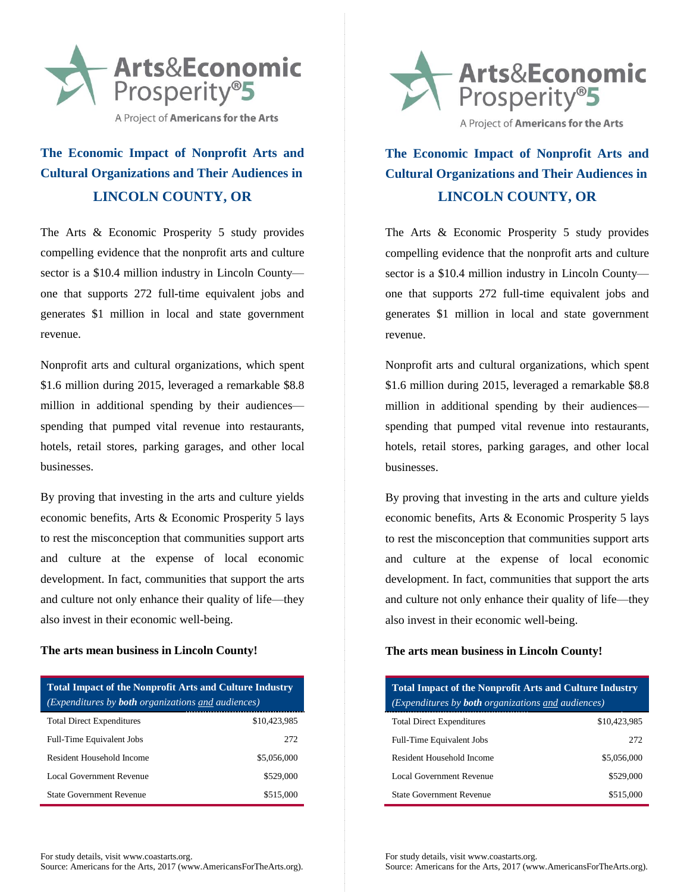

# **The Economic Impact of Nonprofit Arts and Cultural Organizations and Their Audiences in LINCOLN COUNTY, OR**

The Arts & Economic Prosperity 5 study provides compelling evidence that the nonprofit arts and culture sector is a \$10.4 million industry in Lincoln County one that supports 272 full-time equivalent jobs and generates \$1 million in local and state government revenue.

Nonprofit arts and cultural organizations, which spent \$1.6 million during 2015, leveraged a remarkable \$8.8 million in additional spending by their audiences spending that pumped vital revenue into restaurants, hotels, retail stores, parking garages, and other local businesses.

By proving that investing in the arts and culture yields economic benefits, Arts & Economic Prosperity 5 lays to rest the misconception that communities support arts and culture at the expense of local economic development. In fact, communities that support the arts and culture not only enhance their quality of life—they also invest in their economic well-being.

### **The arts mean business in Lincoln County!**

| <b>Total Impact of the Nonprofit Arts and Culture Industry</b><br>(Expenditures by <b>both</b> organizations and audiences) |              |  |
|-----------------------------------------------------------------------------------------------------------------------------|--------------|--|
| <b>Total Direct Expenditures</b>                                                                                            | \$10.423.985 |  |
| Full-Time Equivalent Jobs                                                                                                   | 272          |  |
| Resident Household Income                                                                                                   | \$5,056,000  |  |
| Local Government Revenue                                                                                                    | \$529,000    |  |
| <b>State Government Revenue</b>                                                                                             | \$515,000    |  |





# **The Economic Impact of Nonprofit Arts and Cultural Organizations and Their Audiences in LINCOLN COUNTY, OR**

The Arts & Economic Prosperity 5 study provides compelling evidence that the nonprofit arts and culture sector is a \$10.4 million industry in Lincoln County one that supports 272 full-time equivalent jobs and generates \$1 million in local and state government revenue.

Nonprofit arts and cultural organizations, which spent \$1.6 million during 2015, leveraged a remarkable \$8.8 million in additional spending by their audiences spending that pumped vital revenue into restaurants, hotels, retail stores, parking garages, and other local businesses.

By proving that investing in the arts and culture yields economic benefits, Arts & Economic Prosperity 5 lays to rest the misconception that communities support arts and culture at the expense of local economic development. In fact, communities that support the arts and culture not only enhance their quality of life—they also invest in their economic well-being.

### **The arts mean business in Lincoln County!**

| <b>Total Impact of the Nonprofit Arts and Culture Industry</b><br>(Expenditures by <b>both</b> organizations and audiences) |              |  |
|-----------------------------------------------------------------------------------------------------------------------------|--------------|--|
| <b>Total Direct Expenditures</b>                                                                                            | \$10.423.985 |  |
| Full-Time Equivalent Jobs                                                                                                   | 272          |  |
| Resident Household Income                                                                                                   | \$5,056,000  |  |
| Local Government Revenue                                                                                                    | \$529,000    |  |
| <b>State Government Revenue</b>                                                                                             | \$515,000    |  |